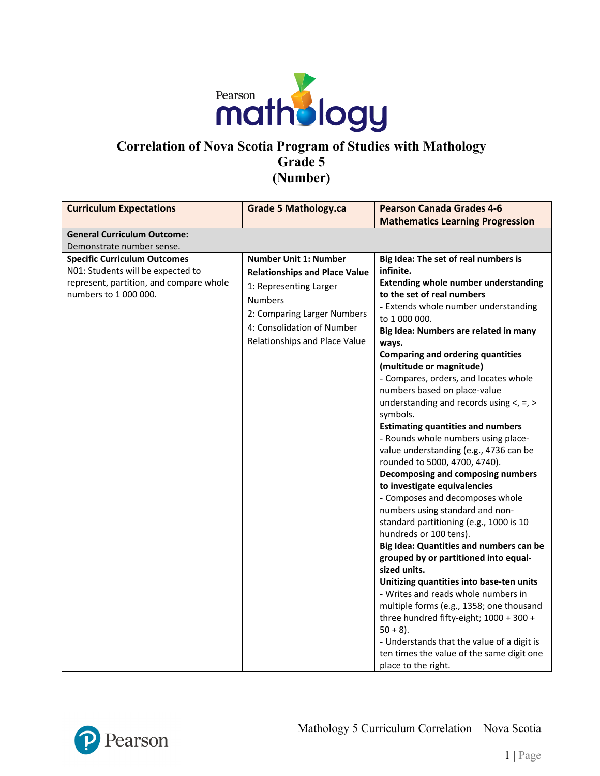

# **Correlation of Nova Scotia Program of Studies with Mathology Grade 5 (Number)**

| <b>Curriculum Expectations</b>                                                                                                               | <b>Grade 5 Mathology.ca</b>                                                                                                                                                                                    | <b>Pearson Canada Grades 4-6</b>                                                                                                                                                                                                                                                                                                                                                                                                                                                                                                                                                                                                                                                                                                                                                                                                                                                                                                                                                                                                                                                                                                                                                                                                                      |
|----------------------------------------------------------------------------------------------------------------------------------------------|----------------------------------------------------------------------------------------------------------------------------------------------------------------------------------------------------------------|-------------------------------------------------------------------------------------------------------------------------------------------------------------------------------------------------------------------------------------------------------------------------------------------------------------------------------------------------------------------------------------------------------------------------------------------------------------------------------------------------------------------------------------------------------------------------------------------------------------------------------------------------------------------------------------------------------------------------------------------------------------------------------------------------------------------------------------------------------------------------------------------------------------------------------------------------------------------------------------------------------------------------------------------------------------------------------------------------------------------------------------------------------------------------------------------------------------------------------------------------------|
|                                                                                                                                              |                                                                                                                                                                                                                | <b>Mathematics Learning Progression</b>                                                                                                                                                                                                                                                                                                                                                                                                                                                                                                                                                                                                                                                                                                                                                                                                                                                                                                                                                                                                                                                                                                                                                                                                               |
| <b>General Curriculum Outcome:</b>                                                                                                           |                                                                                                                                                                                                                |                                                                                                                                                                                                                                                                                                                                                                                                                                                                                                                                                                                                                                                                                                                                                                                                                                                                                                                                                                                                                                                                                                                                                                                                                                                       |
| Demonstrate number sense.                                                                                                                    |                                                                                                                                                                                                                |                                                                                                                                                                                                                                                                                                                                                                                                                                                                                                                                                                                                                                                                                                                                                                                                                                                                                                                                                                                                                                                                                                                                                                                                                                                       |
| <b>Specific Curriculum Outcomes</b><br>N01: Students will be expected to<br>represent, partition, and compare whole<br>numbers to 1 000 000. | <b>Number Unit 1: Number</b><br><b>Relationships and Place Value</b><br>1: Representing Larger<br><b>Numbers</b><br>2: Comparing Larger Numbers<br>4: Consolidation of Number<br>Relationships and Place Value | Big Idea: The set of real numbers is<br>infinite.<br><b>Extending whole number understanding</b><br>to the set of real numbers<br>- Extends whole number understanding<br>to 1 000 000.<br>Big Idea: Numbers are related in many<br>ways.<br><b>Comparing and ordering quantities</b><br>(multitude or magnitude)<br>- Compares, orders, and locates whole<br>numbers based on place-value<br>understanding and records using $\lt$ , =, $>$<br>symbols.<br><b>Estimating quantities and numbers</b><br>- Rounds whole numbers using place-<br>value understanding (e.g., 4736 can be<br>rounded to 5000, 4700, 4740).<br>Decomposing and composing numbers<br>to investigate equivalencies<br>- Composes and decomposes whole<br>numbers using standard and non-<br>standard partitioning (e.g., 1000 is 10<br>hundreds or 100 tens).<br>Big Idea: Quantities and numbers can be<br>grouped by or partitioned into equal-<br>sized units.<br>Unitizing quantities into base-ten units<br>- Writes and reads whole numbers in<br>multiple forms (e.g., 1358; one thousand<br>three hundred fifty-eight; 1000 + 300 +<br>$50 + 8$ ).<br>- Understands that the value of a digit is<br>ten times the value of the same digit one<br>place to the right. |

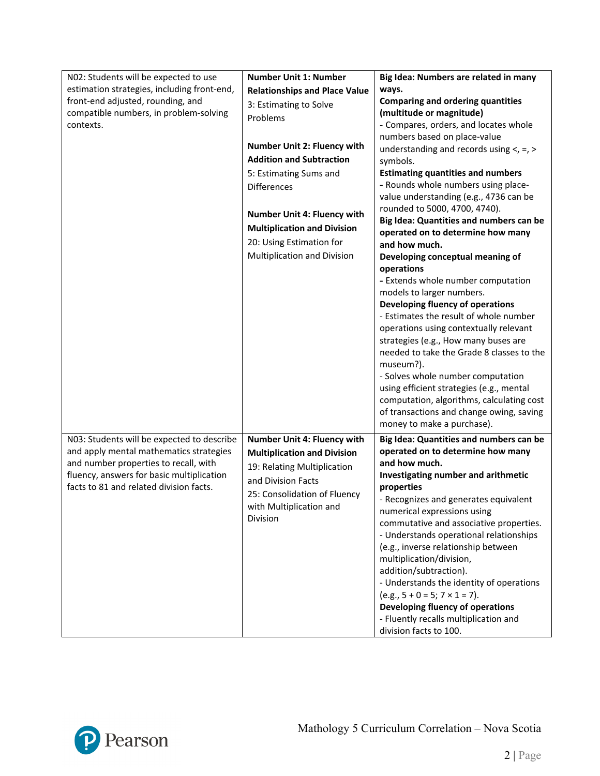| N02: Students will be expected to use       | <b>Number Unit 1: Number</b>         | Big Idea: Numbers are related in many        |
|---------------------------------------------|--------------------------------------|----------------------------------------------|
| estimation strategies, including front-end, | <b>Relationships and Place Value</b> | ways.                                        |
| front-end adjusted, rounding, and           |                                      | <b>Comparing and ordering quantities</b>     |
| compatible numbers, in problem-solving      | 3: Estimating to Solve               | (multitude or magnitude)                     |
| contexts.                                   | Problems                             | - Compares, orders, and locates whole        |
|                                             |                                      | numbers based on place-value                 |
|                                             | <b>Number Unit 2: Fluency with</b>   | understanding and records using $\lt$ , =, > |
|                                             | <b>Addition and Subtraction</b>      | symbols.                                     |
|                                             | 5: Estimating Sums and               | <b>Estimating quantities and numbers</b>     |
|                                             | <b>Differences</b>                   | - Rounds whole numbers using place-          |
|                                             |                                      | value understanding (e.g., 4736 can be       |
|                                             |                                      | rounded to 5000, 4700, 4740).                |
|                                             | <b>Number Unit 4: Fluency with</b>   | Big Idea: Quantities and numbers can be      |
|                                             | <b>Multiplication and Division</b>   | operated on to determine how many            |
|                                             | 20: Using Estimation for             | and how much.                                |
|                                             | Multiplication and Division          | Developing conceptual meaning of             |
|                                             |                                      | operations                                   |
|                                             |                                      | - Extends whole number computation           |
|                                             |                                      | models to larger numbers.                    |
|                                             |                                      | Developing fluency of operations             |
|                                             |                                      | - Estimates the result of whole number       |
|                                             |                                      | operations using contextually relevant       |
|                                             |                                      | strategies (e.g., How many buses are         |
|                                             |                                      | needed to take the Grade 8 classes to the    |
|                                             |                                      | museum?).                                    |
|                                             |                                      | - Solves whole number computation            |
|                                             |                                      | using efficient strategies (e.g., mental     |
|                                             |                                      | computation, algorithms, calculating cost    |
|                                             |                                      | of transactions and change owing, saving     |
|                                             |                                      | money to make a purchase).                   |
| N03: Students will be expected to describe  | Number Unit 4: Fluency with          | Big Idea: Quantities and numbers can be      |
| and apply mental mathematics strategies     | <b>Multiplication and Division</b>   | operated on to determine how many            |
| and number properties to recall, with       | 19: Relating Multiplication          | and how much.                                |
| fluency, answers for basic multiplication   |                                      | Investigating number and arithmetic          |
| facts to 81 and related division facts.     | and Division Facts                   | properties                                   |
|                                             | 25: Consolidation of Fluency         | - Recognizes and generates equivalent        |
|                                             | with Multiplication and              | numerical expressions using                  |
|                                             | Division                             | commutative and associative properties.      |
|                                             |                                      | - Understands operational relationships      |
|                                             |                                      | (e.g., inverse relationship between          |
|                                             |                                      | multiplication/division,                     |
|                                             |                                      | addition/subtraction).                       |
|                                             |                                      | - Understands the identity of operations     |
|                                             |                                      | $(e.g., 5 + 0 = 5; 7 \times 1 = 7).$         |
|                                             |                                      | Developing fluency of operations             |
|                                             |                                      | - Fluently recalls multiplication and        |
|                                             |                                      | division facts to 100.                       |

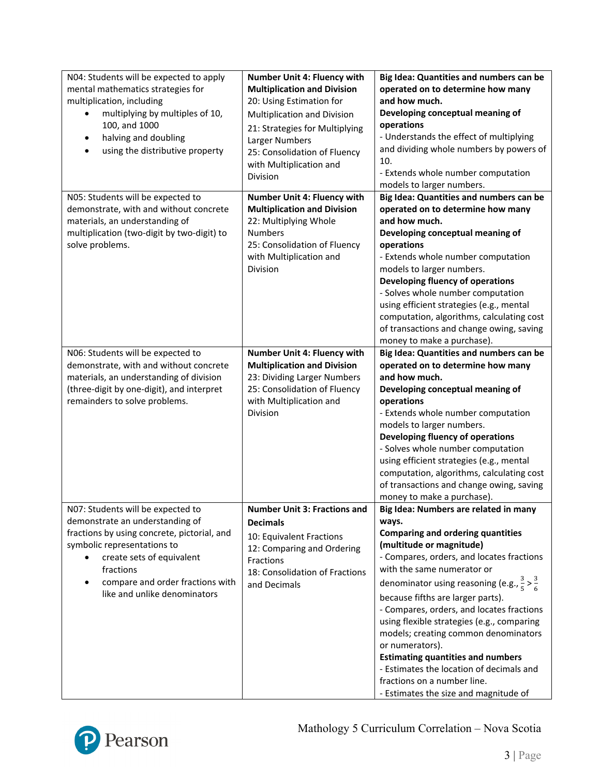| N04: Students will be expected to apply<br>mental mathematics strategies for<br>multiplication, including<br>multiplying by multiples of 10,<br>100, and 1000<br>halving and doubling<br>٠<br>using the distributive property<br>$\bullet$                       | <b>Number Unit 4: Fluency with</b><br><b>Multiplication and Division</b><br>20: Using Estimation for<br>Multiplication and Division<br>21: Strategies for Multiplying<br>Larger Numbers<br>25: Consolidation of Fluency<br>with Multiplication and<br>Division | Big Idea: Quantities and numbers can be<br>operated on to determine how many<br>and how much.<br>Developing conceptual meaning of<br>operations<br>- Understands the effect of multiplying<br>and dividing whole numbers by powers of<br>10.<br>- Extends whole number computation<br>models to larger numbers.                                                                                                                                                                                                                                                                                                                  |
|------------------------------------------------------------------------------------------------------------------------------------------------------------------------------------------------------------------------------------------------------------------|----------------------------------------------------------------------------------------------------------------------------------------------------------------------------------------------------------------------------------------------------------------|----------------------------------------------------------------------------------------------------------------------------------------------------------------------------------------------------------------------------------------------------------------------------------------------------------------------------------------------------------------------------------------------------------------------------------------------------------------------------------------------------------------------------------------------------------------------------------------------------------------------------------|
| N05: Students will be expected to<br>demonstrate, with and without concrete<br>materials, an understanding of<br>multiplication (two-digit by two-digit) to<br>solve problems.                                                                                   | Number Unit 4: Fluency with<br><b>Multiplication and Division</b><br>22: Multiplying Whole<br><b>Numbers</b><br>25: Consolidation of Fluency<br>with Multiplication and<br>Division                                                                            | Big Idea: Quantities and numbers can be<br>operated on to determine how many<br>and how much.<br>Developing conceptual meaning of<br>operations<br>- Extends whole number computation<br>models to larger numbers.<br>Developing fluency of operations<br>- Solves whole number computation<br>using efficient strategies (e.g., mental<br>computation, algorithms, calculating cost<br>of transactions and change owing, saving<br>money to make a purchase).                                                                                                                                                                   |
| N06: Students will be expected to<br>demonstrate, with and without concrete<br>materials, an understanding of division<br>(three-digit by one-digit), and interpret<br>remainders to solve problems.                                                             | Number Unit 4: Fluency with<br><b>Multiplication and Division</b><br>23: Dividing Larger Numbers<br>25: Consolidation of Fluency<br>with Multiplication and<br>Division                                                                                        | Big Idea: Quantities and numbers can be<br>operated on to determine how many<br>and how much.<br>Developing conceptual meaning of<br>operations<br>- Extends whole number computation<br>models to larger numbers.<br>Developing fluency of operations<br>- Solves whole number computation<br>using efficient strategies (e.g., mental<br>computation, algorithms, calculating cost<br>of transactions and change owing, saving<br>money to make a purchase).                                                                                                                                                                   |
| N07: Students will be expected to<br>demonstrate an understanding of<br>fractions by using concrete, pictorial, and<br>symbolic representations to<br>create sets of equivalent<br>fractions<br>compare and order fractions with<br>like and unlike denominators | <b>Number Unit 3: Fractions and</b><br><b>Decimals</b><br>10: Equivalent Fractions<br>12: Comparing and Ordering<br>Fractions<br>18: Consolidation of Fractions<br>and Decimals                                                                                | Big Idea: Numbers are related in many<br>ways.<br><b>Comparing and ordering quantities</b><br>(multitude or magnitude)<br>- Compares, orders, and locates fractions<br>with the same numerator or<br>denominator using reasoning (e.g., $\frac{3}{5}$ > $\frac{3}{6}$<br>because fifths are larger parts).<br>- Compares, orders, and locates fractions<br>using flexible strategies (e.g., comparing<br>models; creating common denominators<br>or numerators).<br><b>Estimating quantities and numbers</b><br>- Estimates the location of decimals and<br>fractions on a number line.<br>- Estimates the size and magnitude of |

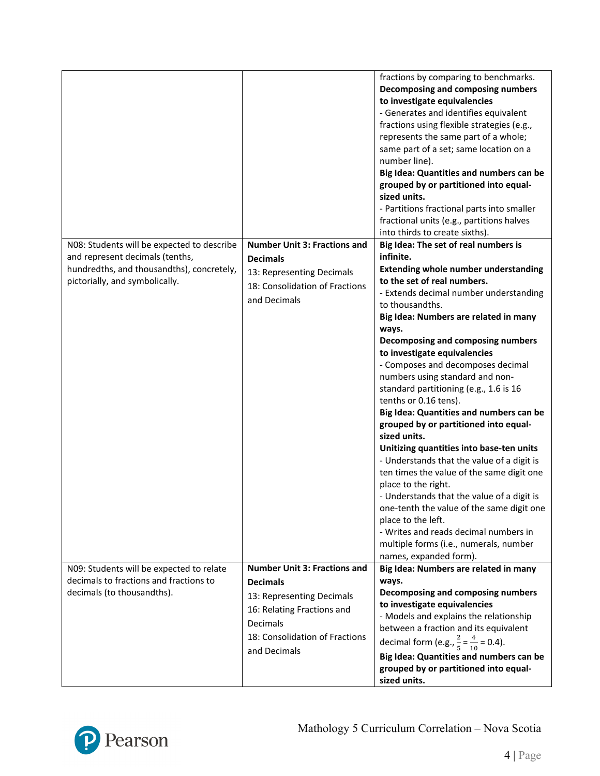|                                            |                                     | fractions by comparing to benchmarks.                     |
|--------------------------------------------|-------------------------------------|-----------------------------------------------------------|
|                                            |                                     | Decomposing and composing numbers                         |
|                                            |                                     |                                                           |
|                                            |                                     | to investigate equivalencies                              |
|                                            |                                     | - Generates and identifies equivalent                     |
|                                            |                                     | fractions using flexible strategies (e.g.,                |
|                                            |                                     | represents the same part of a whole;                      |
|                                            |                                     | same part of a set; same location on a                    |
|                                            |                                     | number line).                                             |
|                                            |                                     | Big Idea: Quantities and numbers can be                   |
|                                            |                                     | grouped by or partitioned into equal-<br>sized units.     |
|                                            |                                     | - Partitions fractional parts into smaller                |
|                                            |                                     | fractional units (e.g., partitions halves                 |
|                                            |                                     | into thirds to create sixths).                            |
| N08: Students will be expected to describe | <b>Number Unit 3: Fractions and</b> | Big Idea: The set of real numbers is                      |
| and represent decimals (tenths,            | <b>Decimals</b>                     | infinite.                                                 |
| hundredths, and thousandths), concretely,  |                                     | <b>Extending whole number understanding</b>               |
| pictorially, and symbolically.             | 13: Representing Decimals           | to the set of real numbers.                               |
|                                            | 18: Consolidation of Fractions      | - Extends decimal number understanding                    |
|                                            | and Decimals                        | to thousandths.                                           |
|                                            |                                     | Big Idea: Numbers are related in many                     |
|                                            |                                     | ways.                                                     |
|                                            |                                     | Decomposing and composing numbers                         |
|                                            |                                     | to investigate equivalencies                              |
|                                            |                                     | - Composes and decomposes decimal                         |
|                                            |                                     | numbers using standard and non-                           |
|                                            |                                     | standard partitioning (e.g., 1.6 is 16                    |
|                                            |                                     | tenths or 0.16 tens).                                     |
|                                            |                                     | Big Idea: Quantities and numbers can be                   |
|                                            |                                     | grouped by or partitioned into equal-                     |
|                                            |                                     | sized units.                                              |
|                                            |                                     | Unitizing quantities into base-ten units                  |
|                                            |                                     | - Understands that the value of a digit is                |
|                                            |                                     | ten times the value of the same digit one                 |
|                                            |                                     | place to the right.                                       |
|                                            |                                     | - Understands that the value of a digit is                |
|                                            |                                     | one-tenth the value of the same digit one                 |
|                                            |                                     | place to the left.                                        |
|                                            |                                     | - Writes and reads decimal numbers in                     |
|                                            |                                     | multiple forms (i.e., numerals, number                    |
|                                            |                                     | names, expanded form).                                    |
| N09: Students will be expected to relate   | <b>Number Unit 3: Fractions and</b> | Big Idea: Numbers are related in many                     |
| decimals to fractions and fractions to     | <b>Decimals</b>                     | ways.                                                     |
| decimals (to thousandths).                 |                                     | Decomposing and composing numbers                         |
|                                            | 13: Representing Decimals           | to investigate equivalencies                              |
|                                            | 16: Relating Fractions and          | - Models and explains the relationship                    |
|                                            | <b>Decimals</b>                     | between a fraction and its equivalent                     |
|                                            | 18: Consolidation of Fractions      |                                                           |
|                                            | and Decimals                        | decimal form (e.g., $\frac{2}{5} = \frac{4}{10} = 0.4$ ). |
|                                            |                                     | Big Idea: Quantities and numbers can be                   |
|                                            |                                     | grouped by or partitioned into equal-                     |
|                                            |                                     | sized units.                                              |

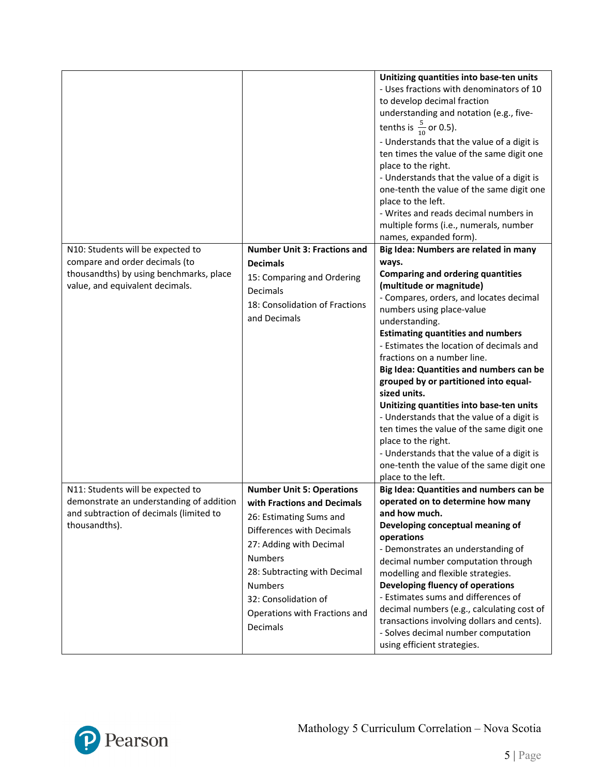|                                                                                                                                           |                                                                                                                                                                                                                                                                                             | Unitizing quantities into base-ten units<br>- Uses fractions with denominators of 10<br>to develop decimal fraction<br>understanding and notation (e.g., five-<br>tenths is $\frac{5}{10}$ or 0.5).<br>- Understands that the value of a digit is<br>ten times the value of the same digit one<br>place to the right.<br>- Understands that the value of a digit is<br>one-tenth the value of the same digit one<br>place to the left.<br>- Writes and reads decimal numbers in<br>multiple forms (i.e., numerals, number<br>names, expanded form).                                                                                                                               |
|-------------------------------------------------------------------------------------------------------------------------------------------|---------------------------------------------------------------------------------------------------------------------------------------------------------------------------------------------------------------------------------------------------------------------------------------------|-----------------------------------------------------------------------------------------------------------------------------------------------------------------------------------------------------------------------------------------------------------------------------------------------------------------------------------------------------------------------------------------------------------------------------------------------------------------------------------------------------------------------------------------------------------------------------------------------------------------------------------------------------------------------------------|
| N10: Students will be expected to                                                                                                         | <b>Number Unit 3: Fractions and</b>                                                                                                                                                                                                                                                         | Big Idea: Numbers are related in many                                                                                                                                                                                                                                                                                                                                                                                                                                                                                                                                                                                                                                             |
| compare and order decimals (to<br>thousandths) by using benchmarks, place<br>value, and equivalent decimals.                              | <b>Decimals</b><br>15: Comparing and Ordering<br>Decimals<br>18: Consolidation of Fractions<br>and Decimals                                                                                                                                                                                 | ways.<br><b>Comparing and ordering quantities</b><br>(multitude or magnitude)<br>- Compares, orders, and locates decimal<br>numbers using place-value<br>understanding.<br><b>Estimating quantities and numbers</b><br>- Estimates the location of decimals and<br>fractions on a number line.<br>Big Idea: Quantities and numbers can be<br>grouped by or partitioned into equal-<br>sized units.<br>Unitizing quantities into base-ten units<br>- Understands that the value of a digit is<br>ten times the value of the same digit one<br>place to the right.<br>- Understands that the value of a digit is<br>one-tenth the value of the same digit one<br>place to the left. |
| N11: Students will be expected to<br>demonstrate an understanding of addition<br>and subtraction of decimals (limited to<br>thousandths). | <b>Number Unit 5: Operations</b><br>with Fractions and Decimals<br>26: Estimating Sums and<br>Differences with Decimals<br>27: Adding with Decimal<br><b>Numbers</b><br>28: Subtracting with Decimal<br><b>Numbers</b><br>32: Consolidation of<br>Operations with Fractions and<br>Decimals | Big Idea: Quantities and numbers can be<br>operated on to determine how many<br>and how much.<br>Developing conceptual meaning of<br>operations<br>- Demonstrates an understanding of<br>decimal number computation through<br>modelling and flexible strategies.<br>Developing fluency of operations<br>- Estimates sums and differences of<br>decimal numbers (e.g., calculating cost of<br>transactions involving dollars and cents).<br>- Solves decimal number computation<br>using efficient strategies.                                                                                                                                                                    |

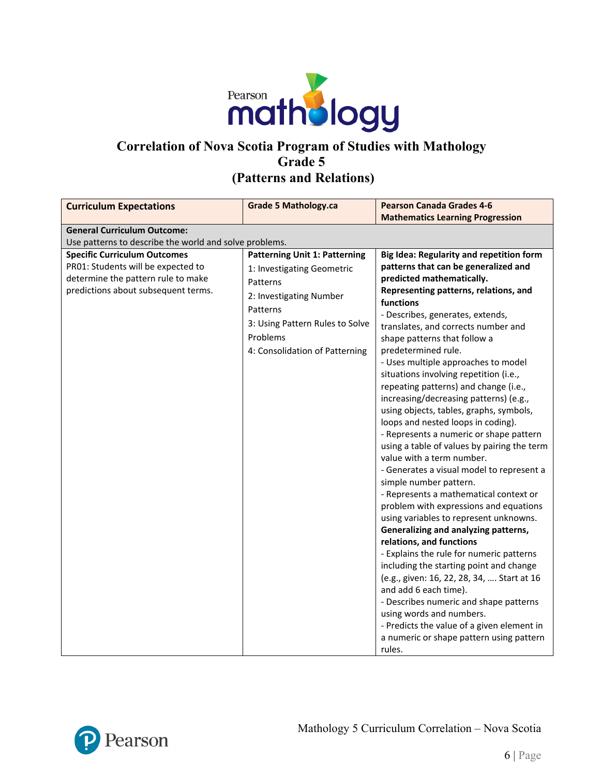

# **Correlation of Nova Scotia Program of Studies with Mathology Grade 5 (Patterns and Relations)**

| <b>Curriculum Expectations</b>                         | <b>Grade 5 Mathology.ca</b>          | <b>Pearson Canada Grades 4-6</b>                   |
|--------------------------------------------------------|--------------------------------------|----------------------------------------------------|
|                                                        |                                      | <b>Mathematics Learning Progression</b>            |
| <b>General Curriculum Outcome:</b>                     |                                      |                                                    |
| Use patterns to describe the world and solve problems. |                                      |                                                    |
| <b>Specific Curriculum Outcomes</b>                    | <b>Patterning Unit 1: Patterning</b> | Big Idea: Regularity and repetition form           |
| PR01: Students will be expected to                     | 1: Investigating Geometric           | patterns that can be generalized and               |
| determine the pattern rule to make                     | Patterns                             | predicted mathematically.                          |
| predictions about subsequent terms.                    | 2: Investigating Number              | Representing patterns, relations, and<br>functions |
|                                                        | Patterns                             | - Describes, generates, extends,                   |
|                                                        | 3: Using Pattern Rules to Solve      | translates, and corrects number and                |
|                                                        | Problems                             | shape patterns that follow a                       |
|                                                        | 4: Consolidation of Patterning       | predetermined rule.                                |
|                                                        |                                      | - Uses multiple approaches to model                |
|                                                        |                                      | situations involving repetition (i.e.,             |
|                                                        |                                      | repeating patterns) and change (i.e.,              |
|                                                        |                                      | increasing/decreasing patterns) (e.g.,             |
|                                                        |                                      | using objects, tables, graphs, symbols,            |
|                                                        |                                      | loops and nested loops in coding).                 |
|                                                        |                                      | - Represents a numeric or shape pattern            |
|                                                        |                                      | using a table of values by pairing the term        |
|                                                        |                                      | value with a term number.                          |
|                                                        |                                      | - Generates a visual model to represent a          |
|                                                        |                                      | simple number pattern.                             |
|                                                        |                                      | - Represents a mathematical context or             |
|                                                        |                                      | problem with expressions and equations             |
|                                                        |                                      | using variables to represent unknowns.             |
|                                                        |                                      | Generalizing and analyzing patterns,               |
|                                                        |                                      | relations, and functions                           |
|                                                        |                                      | - Explains the rule for numeric patterns           |
|                                                        |                                      | including the starting point and change            |
|                                                        |                                      | (e.g., given: 16, 22, 28, 34,  Start at 16         |
|                                                        |                                      | and add 6 each time).                              |
|                                                        |                                      | - Describes numeric and shape patterns             |
|                                                        |                                      | using words and numbers.                           |
|                                                        |                                      | - Predicts the value of a given element in         |
|                                                        |                                      | a numeric or shape pattern using pattern<br>rules. |

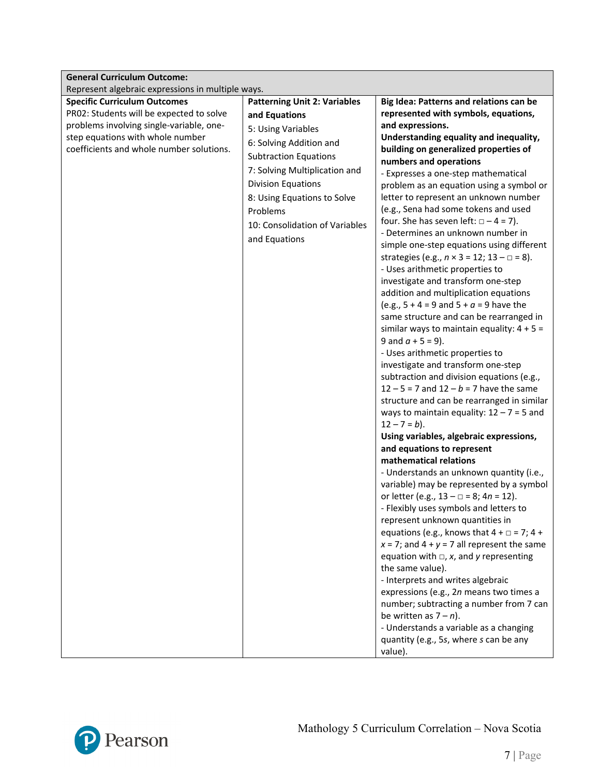| <b>General Curriculum Outcome:</b>                |                                     |                                                             |  |
|---------------------------------------------------|-------------------------------------|-------------------------------------------------------------|--|
| Represent algebraic expressions in multiple ways. |                                     |                                                             |  |
| <b>Specific Curriculum Outcomes</b>               | <b>Patterning Unit 2: Variables</b> | Big Idea: Patterns and relations can be                     |  |
| PR02: Students will be expected to solve          | and Equations                       | represented with symbols, equations,                        |  |
| problems involving single-variable, one-          | 5: Using Variables                  | and expressions.                                            |  |
| step equations with whole number                  | 6: Solving Addition and             | Understanding equality and inequality,                      |  |
| coefficients and whole number solutions.          |                                     | building on generalized properties of                       |  |
|                                                   | <b>Subtraction Equations</b>        | numbers and operations                                      |  |
|                                                   | 7: Solving Multiplication and       | - Expresses a one-step mathematical                         |  |
|                                                   | <b>Division Equations</b>           | problem as an equation using a symbol or                    |  |
|                                                   | 8: Using Equations to Solve         | letter to represent an unknown number                       |  |
|                                                   | Problems                            | (e.g., Sena had some tokens and used                        |  |
|                                                   | 10: Consolidation of Variables      | four. She has seven left: $\Box - 4 = 7$ ).                 |  |
|                                                   |                                     | - Determines an unknown number in                           |  |
|                                                   | and Equations                       | simple one-step equations using different                   |  |
|                                                   |                                     | strategies (e.g., $n \times 3 = 12$ ; $13 - \square = 8$ ). |  |
|                                                   |                                     | - Uses arithmetic properties to                             |  |
|                                                   |                                     | investigate and transform one-step                          |  |
|                                                   |                                     | addition and multiplication equations                       |  |
|                                                   |                                     | (e.g., $5 + 4 = 9$ and $5 + a = 9$ have the                 |  |
|                                                   |                                     | same structure and can be rearranged in                     |  |
|                                                   |                                     | similar ways to maintain equality: $4 + 5 =$                |  |
|                                                   |                                     | 9 and $a + 5 = 9$ ).                                        |  |
|                                                   |                                     | - Uses arithmetic properties to                             |  |
|                                                   |                                     | investigate and transform one-step                          |  |
|                                                   |                                     | subtraction and division equations (e.g.,                   |  |
|                                                   |                                     | $12 - 5 = 7$ and $12 - b = 7$ have the same                 |  |
|                                                   |                                     | structure and can be rearranged in similar                  |  |
|                                                   |                                     | ways to maintain equality: $12 - 7 = 5$ and                 |  |
|                                                   |                                     | $12 - 7 = b$ ).                                             |  |
|                                                   |                                     | Using variables, algebraic expressions,                     |  |
|                                                   |                                     | and equations to represent                                  |  |
|                                                   |                                     | mathematical relations                                      |  |
|                                                   |                                     | - Understands an unknown quantity (i.e.,                    |  |
|                                                   |                                     | variable) may be represented by a symbol                    |  |
|                                                   |                                     | or letter (e.g., $13 - \square = 8$ ; $4n = 12$ ).          |  |
|                                                   |                                     | - Flexibly uses symbols and letters to                      |  |
|                                                   |                                     | represent unknown quantities in                             |  |
|                                                   |                                     | equations (e.g., knows that $4 + \square = 7$ ; $4 +$       |  |
|                                                   |                                     | $x = 7$ ; and $4 + y = 7$ all represent the same            |  |
|                                                   |                                     | equation with $\Box$ , x, and y representing                |  |
|                                                   |                                     | the same value).                                            |  |
|                                                   |                                     | - Interprets and writes algebraic                           |  |
|                                                   |                                     | expressions (e.g., 2n means two times a                     |  |
|                                                   |                                     | number; subtracting a number from 7 can                     |  |
|                                                   |                                     | be written as $7 - n$ ).                                    |  |
|                                                   |                                     | - Understands a variable as a changing                      |  |
|                                                   |                                     | quantity (e.g., 5s, where s can be any                      |  |
|                                                   |                                     | value).                                                     |  |

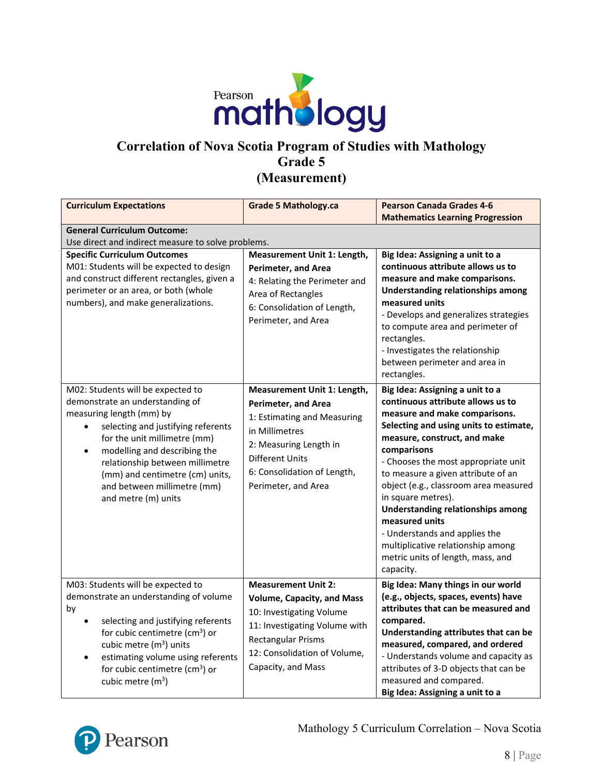

### **Correlation of Nova Scotia Program of Studies with Mathology Grade 5 (Measurement)**

| <b>Curriculum Expectations</b>                                                                                                                                                                                                                                                                                                                  | <b>Grade 5 Mathology.ca</b>                                                                                                                                                                                     | <b>Pearson Canada Grades 4-6</b><br><b>Mathematics Learning Progression</b>                                                                                                                                                                                                                                                                                                                                                                                                                                                      |
|-------------------------------------------------------------------------------------------------------------------------------------------------------------------------------------------------------------------------------------------------------------------------------------------------------------------------------------------------|-----------------------------------------------------------------------------------------------------------------------------------------------------------------------------------------------------------------|----------------------------------------------------------------------------------------------------------------------------------------------------------------------------------------------------------------------------------------------------------------------------------------------------------------------------------------------------------------------------------------------------------------------------------------------------------------------------------------------------------------------------------|
| <b>General Curriculum Outcome:</b><br>Use direct and indirect measure to solve problems.                                                                                                                                                                                                                                                        |                                                                                                                                                                                                                 |                                                                                                                                                                                                                                                                                                                                                                                                                                                                                                                                  |
| <b>Specific Curriculum Outcomes</b><br>M01: Students will be expected to design<br>and construct different rectangles, given a<br>perimeter or an area, or both (whole<br>numbers), and make generalizations.                                                                                                                                   | Measurement Unit 1: Length,<br><b>Perimeter, and Area</b><br>4: Relating the Perimeter and<br>Area of Rectangles<br>6: Consolidation of Length,<br>Perimeter, and Area                                          | Big Idea: Assigning a unit to a<br>continuous attribute allows us to<br>measure and make comparisons.<br><b>Understanding relationships among</b><br>measured units<br>- Develops and generalizes strategies<br>to compute area and perimeter of<br>rectangles.<br>- Investigates the relationship<br>between perimeter and area in<br>rectangles.                                                                                                                                                                               |
| M02: Students will be expected to<br>demonstrate an understanding of<br>measuring length (mm) by<br>selecting and justifying referents<br>for the unit millimetre (mm)<br>modelling and describing the<br>$\bullet$<br>relationship between millimetre<br>(mm) and centimetre (cm) units,<br>and between millimetre (mm)<br>and metre (m) units | Measurement Unit 1: Length,<br>Perimeter, and Area<br>1: Estimating and Measuring<br>in Millimetres<br>2: Measuring Length in<br><b>Different Units</b><br>6: Consolidation of Length,<br>Perimeter, and Area   | Big Idea: Assigning a unit to a<br>continuous attribute allows us to<br>measure and make comparisons.<br>Selecting and using units to estimate,<br>measure, construct, and make<br>comparisons<br>- Chooses the most appropriate unit<br>to measure a given attribute of an<br>object (e.g., classroom area measured<br>in square metres).<br><b>Understanding relationships among</b><br>measured units<br>- Understands and applies the<br>multiplicative relationship among<br>metric units of length, mass, and<br>capacity. |
| M03: Students will be expected to<br>demonstrate an understanding of volume<br>by<br>selecting and justifying referents<br>$\bullet$<br>for cubic centimetre ( $cm3$ ) or<br>cubic metre $(m^3)$ units<br>estimating volume using referents<br>$\bullet$<br>for cubic centimetre (cm <sup>3</sup> ) or<br>cubic metre $(m^3)$                   | <b>Measurement Unit 2:</b><br><b>Volume, Capacity, and Mass</b><br>10: Investigating Volume<br>11: Investigating Volume with<br><b>Rectangular Prisms</b><br>12: Consolidation of Volume,<br>Capacity, and Mass | Big Idea: Many things in our world<br>(e.g., objects, spaces, events) have<br>attributes that can be measured and<br>compared.<br>Understanding attributes that can be<br>measured, compared, and ordered<br>- Understands volume and capacity as<br>attributes of 3-D objects that can be<br>measured and compared.<br>Big Idea: Assigning a unit to a                                                                                                                                                                          |

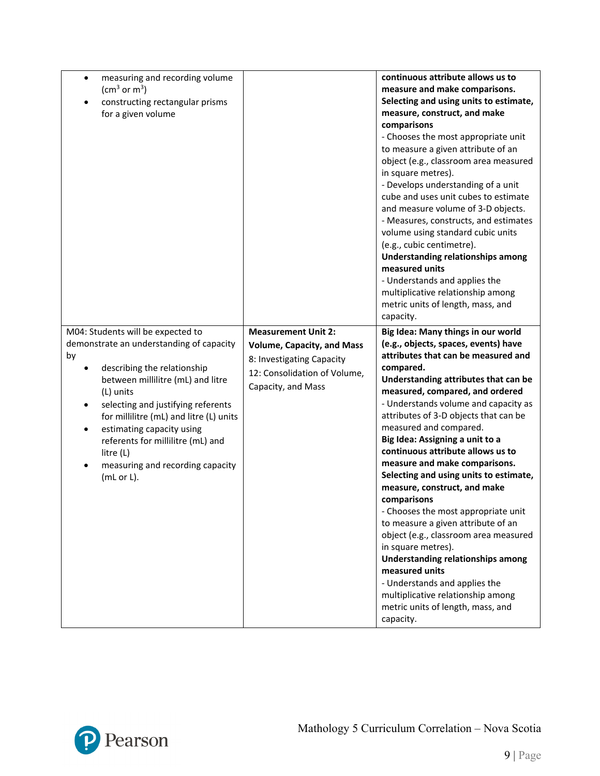| measuring and recording volume<br>$\bullet$<br>(cm <sup>3</sup> or m <sup>3</sup> )<br>constructing rectangular prisms<br>for a given volume                                                                                                                                                                                                                                                        |                                                                                                                                                    | continuous attribute allows us to<br>measure and make comparisons.<br>Selecting and using units to estimate,<br>measure, construct, and make<br>comparisons<br>- Chooses the most appropriate unit<br>to measure a given attribute of an<br>object (e.g., classroom area measured<br>in square metres).<br>- Develops understanding of a unit<br>cube and uses unit cubes to estimate<br>and measure volume of 3-D objects.<br>- Measures, constructs, and estimates<br>volume using standard cubic units<br>(e.g., cubic centimetre).<br>Understanding relationships among<br>measured units<br>- Understands and applies the<br>multiplicative relationship among<br>metric units of length, mass, and<br>capacity.                                                                                                                                    |
|-----------------------------------------------------------------------------------------------------------------------------------------------------------------------------------------------------------------------------------------------------------------------------------------------------------------------------------------------------------------------------------------------------|----------------------------------------------------------------------------------------------------------------------------------------------------|----------------------------------------------------------------------------------------------------------------------------------------------------------------------------------------------------------------------------------------------------------------------------------------------------------------------------------------------------------------------------------------------------------------------------------------------------------------------------------------------------------------------------------------------------------------------------------------------------------------------------------------------------------------------------------------------------------------------------------------------------------------------------------------------------------------------------------------------------------|
| M04: Students will be expected to<br>demonstrate an understanding of capacity<br>by<br>describing the relationship<br>between millilitre (mL) and litre<br>(L) units<br>selecting and justifying referents<br>for millilitre (mL) and litre (L) units<br>estimating capacity using<br>$\bullet$<br>referents for millilitre (mL) and<br>litre (L)<br>measuring and recording capacity<br>(mL or L). | <b>Measurement Unit 2:</b><br><b>Volume, Capacity, and Mass</b><br>8: Investigating Capacity<br>12: Consolidation of Volume,<br>Capacity, and Mass | Big Idea: Many things in our world<br>(e.g., objects, spaces, events) have<br>attributes that can be measured and<br>compared.<br>Understanding attributes that can be<br>measured, compared, and ordered<br>- Understands volume and capacity as<br>attributes of 3-D objects that can be<br>measured and compared.<br>Big Idea: Assigning a unit to a<br>continuous attribute allows us to<br>measure and make comparisons.<br>Selecting and using units to estimate,<br>measure, construct, and make<br>comparisons<br>- Chooses the most appropriate unit<br>to measure a given attribute of an<br>object (e.g., classroom area measured<br>in square metres).<br><b>Understanding relationships among</b><br>measured units<br>- Understands and applies the<br>multiplicative relationship among<br>metric units of length, mass, and<br>capacity. |

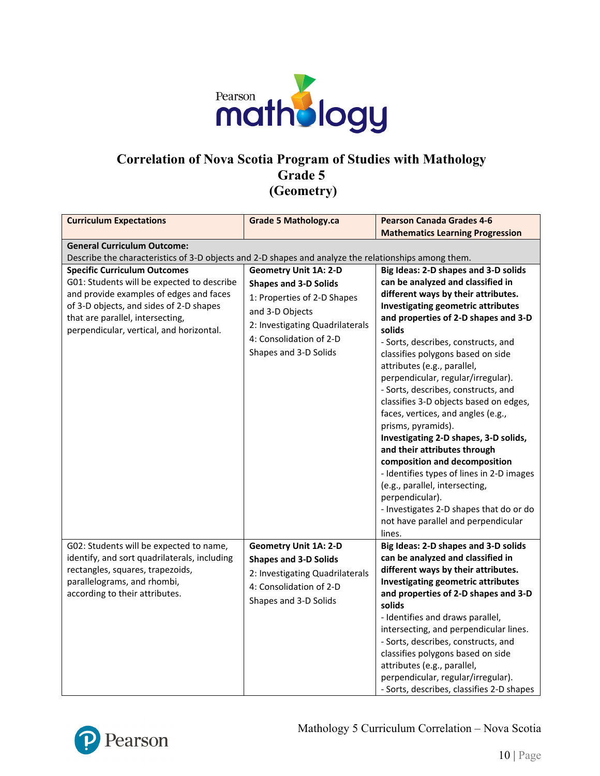

### **Correlation of Nova Scotia Program of Studies with Mathology Grade 5 (Geometry)**

| <b>Curriculum Expectations</b>                                                                                                                                                                                                                          | <b>Grade 5 Mathology.ca</b>                                                                                                                                                                           | <b>Pearson Canada Grades 4-6</b>                                                                                                                                                                                                                                                                                                                                                                                                                                                                                                                                                                                                                                                                                                                                                                     |
|---------------------------------------------------------------------------------------------------------------------------------------------------------------------------------------------------------------------------------------------------------|-------------------------------------------------------------------------------------------------------------------------------------------------------------------------------------------------------|------------------------------------------------------------------------------------------------------------------------------------------------------------------------------------------------------------------------------------------------------------------------------------------------------------------------------------------------------------------------------------------------------------------------------------------------------------------------------------------------------------------------------------------------------------------------------------------------------------------------------------------------------------------------------------------------------------------------------------------------------------------------------------------------------|
|                                                                                                                                                                                                                                                         |                                                                                                                                                                                                       | <b>Mathematics Learning Progression</b>                                                                                                                                                                                                                                                                                                                                                                                                                                                                                                                                                                                                                                                                                                                                                              |
| <b>General Curriculum Outcome:</b>                                                                                                                                                                                                                      |                                                                                                                                                                                                       |                                                                                                                                                                                                                                                                                                                                                                                                                                                                                                                                                                                                                                                                                                                                                                                                      |
| Describe the characteristics of 3-D objects and 2-D shapes and analyze the relationships among them.                                                                                                                                                    |                                                                                                                                                                                                       |                                                                                                                                                                                                                                                                                                                                                                                                                                                                                                                                                                                                                                                                                                                                                                                                      |
| <b>Specific Curriculum Outcomes</b><br>G01: Students will be expected to describe<br>and provide examples of edges and faces<br>of 3-D objects, and sides of 2-D shapes<br>that are parallel, intersecting,<br>perpendicular, vertical, and horizontal. | <b>Geometry Unit 1A: 2-D</b><br><b>Shapes and 3-D Solids</b><br>1: Properties of 2-D Shapes<br>and 3-D Objects<br>2: Investigating Quadrilaterals<br>4: Consolidation of 2-D<br>Shapes and 3-D Solids | Big Ideas: 2-D shapes and 3-D solids<br>can be analyzed and classified in<br>different ways by their attributes.<br>Investigating geometric attributes<br>and properties of 2-D shapes and 3-D<br>solids<br>- Sorts, describes, constructs, and<br>classifies polygons based on side<br>attributes (e.g., parallel,<br>perpendicular, regular/irregular).<br>- Sorts, describes, constructs, and<br>classifies 3-D objects based on edges,<br>faces, vertices, and angles (e.g.,<br>prisms, pyramids).<br>Investigating 2-D shapes, 3-D solids,<br>and their attributes through<br>composition and decomposition<br>- Identifies types of lines in 2-D images<br>(e.g., parallel, intersecting,<br>perpendicular).<br>- Investigates 2-D shapes that do or do<br>not have parallel and perpendicular |
|                                                                                                                                                                                                                                                         |                                                                                                                                                                                                       | lines.                                                                                                                                                                                                                                                                                                                                                                                                                                                                                                                                                                                                                                                                                                                                                                                               |
| G02: Students will be expected to name,<br>identify, and sort quadrilaterals, including<br>rectangles, squares, trapezoids,<br>parallelograms, and rhombi,<br>according to their attributes.                                                            | <b>Geometry Unit 1A: 2-D</b><br><b>Shapes and 3-D Solids</b><br>2: Investigating Quadrilaterals<br>4: Consolidation of 2-D<br>Shapes and 3-D Solids                                                   | Big Ideas: 2-D shapes and 3-D solids<br>can be analyzed and classified in<br>different ways by their attributes.<br>Investigating geometric attributes<br>and properties of 2-D shapes and 3-D<br>solids<br>- Identifies and draws parallel,<br>intersecting, and perpendicular lines.<br>- Sorts, describes, constructs, and<br>classifies polygons based on side<br>attributes (e.g., parallel,<br>perpendicular, regular/irregular).<br>- Sorts, describes, classifies 2-D shapes                                                                                                                                                                                                                                                                                                                 |

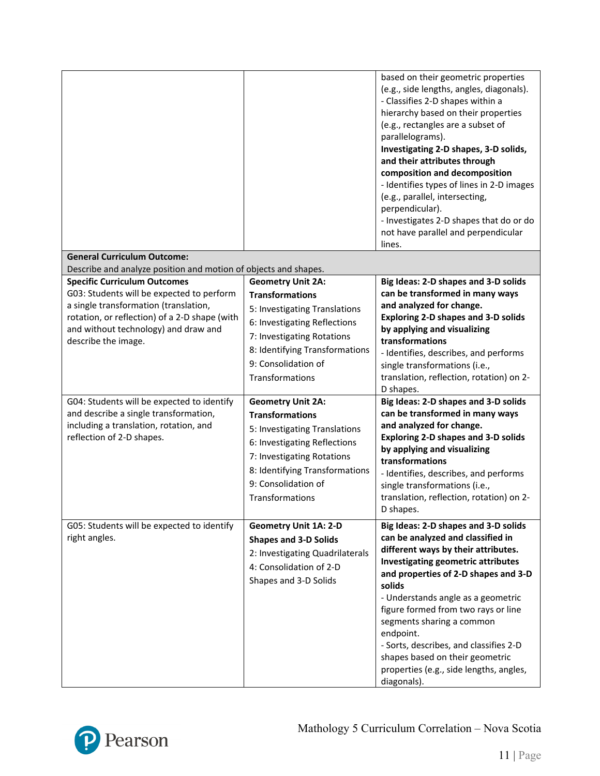|                                                                                                                                                                                                                                                                                                              |                                                                                                                                                                                                                               | based on their geometric properties<br>(e.g., side lengths, angles, diagonals).<br>- Classifies 2-D shapes within a<br>hierarchy based on their properties<br>(e.g., rectangles are a subset of<br>parallelograms).<br>Investigating 2-D shapes, 3-D solids,<br>and their attributes through<br>composition and decomposition<br>- Identifies types of lines in 2-D images<br>(e.g., parallel, intersecting,<br>perpendicular).<br>- Investigates 2-D shapes that do or do<br>not have parallel and perpendicular<br>lines. |
|--------------------------------------------------------------------------------------------------------------------------------------------------------------------------------------------------------------------------------------------------------------------------------------------------------------|-------------------------------------------------------------------------------------------------------------------------------------------------------------------------------------------------------------------------------|-----------------------------------------------------------------------------------------------------------------------------------------------------------------------------------------------------------------------------------------------------------------------------------------------------------------------------------------------------------------------------------------------------------------------------------------------------------------------------------------------------------------------------|
| <b>General Curriculum Outcome:</b>                                                                                                                                                                                                                                                                           |                                                                                                                                                                                                                               |                                                                                                                                                                                                                                                                                                                                                                                                                                                                                                                             |
| Describe and analyze position and motion of objects and shapes.<br><b>Specific Curriculum Outcomes</b><br>G03: Students will be expected to perform<br>a single transformation (translation,<br>rotation, or reflection) of a 2-D shape (with<br>and without technology) and draw and<br>describe the image. | <b>Geometry Unit 2A:</b><br><b>Transformations</b><br>5: Investigating Translations<br>6: Investigating Reflections<br>7: Investigating Rotations<br>8: Identifying Transformations<br>9: Consolidation of<br>Transformations | Big Ideas: 2-D shapes and 3-D solids<br>can be transformed in many ways<br>and analyzed for change.<br><b>Exploring 2-D shapes and 3-D solids</b><br>by applying and visualizing<br>transformations<br>- Identifies, describes, and performs<br>single transformations (i.e.,<br>translation, reflection, rotation) on 2-<br>D shapes.                                                                                                                                                                                      |
| G04: Students will be expected to identify<br>and describe a single transformation,<br>including a translation, rotation, and<br>reflection of 2-D shapes.                                                                                                                                                   | <b>Geometry Unit 2A:</b><br><b>Transformations</b><br>5: Investigating Translations<br>6: Investigating Reflections<br>7: Investigating Rotations<br>8: Identifying Transformations<br>9: Consolidation of<br>Transformations | Big Ideas: 2-D shapes and 3-D solids<br>can be transformed in many ways<br>and analyzed for change.<br><b>Exploring 2-D shapes and 3-D solids</b><br>by applying and visualizing<br>transformations<br>- Identifies, describes, and performs<br>single transformations (i.e.,<br>translation, reflection, rotation) on 2-<br>D shapes.                                                                                                                                                                                      |
| G05: Students will be expected to identify<br>right angles.                                                                                                                                                                                                                                                  | <b>Geometry Unit 1A: 2-D</b><br><b>Shapes and 3-D Solids</b><br>2: Investigating Quadrilaterals<br>4: Consolidation of 2-D<br>Shapes and 3-D Solids                                                                           | Big Ideas: 2-D shapes and 3-D solids<br>can be analyzed and classified in<br>different ways by their attributes.<br><b>Investigating geometric attributes</b><br>and properties of 2-D shapes and 3-D<br>solids<br>- Understands angle as a geometric<br>figure formed from two rays or line<br>segments sharing a common<br>endpoint.<br>- Sorts, describes, and classifies 2-D<br>shapes based on their geometric<br>properties (e.g., side lengths, angles,<br>diagonals).                                               |

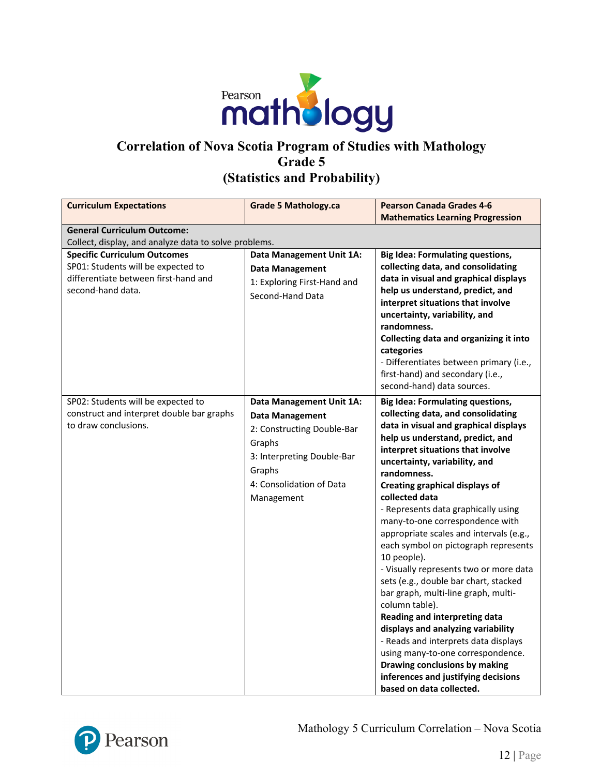

### **Correlation of Nova Scotia Program of Studies with Mathology Grade 5 (Statistics and Probability)**

| <b>Curriculum Expectations</b>                                                                                                         | <b>Grade 5 Mathology.ca</b>                                                                                                                                                  | <b>Pearson Canada Grades 4-6</b>                                                                                                                                                                                                                                                                                                                                                                                                                                                                                                                                                                                                                                                                                                                                                                                                                                                           |
|----------------------------------------------------------------------------------------------------------------------------------------|------------------------------------------------------------------------------------------------------------------------------------------------------------------------------|--------------------------------------------------------------------------------------------------------------------------------------------------------------------------------------------------------------------------------------------------------------------------------------------------------------------------------------------------------------------------------------------------------------------------------------------------------------------------------------------------------------------------------------------------------------------------------------------------------------------------------------------------------------------------------------------------------------------------------------------------------------------------------------------------------------------------------------------------------------------------------------------|
|                                                                                                                                        |                                                                                                                                                                              | <b>Mathematics Learning Progression</b>                                                                                                                                                                                                                                                                                                                                                                                                                                                                                                                                                                                                                                                                                                                                                                                                                                                    |
| <b>General Curriculum Outcome:</b>                                                                                                     |                                                                                                                                                                              |                                                                                                                                                                                                                                                                                                                                                                                                                                                                                                                                                                                                                                                                                                                                                                                                                                                                                            |
| Collect, display, and analyze data to solve problems.                                                                                  |                                                                                                                                                                              |                                                                                                                                                                                                                                                                                                                                                                                                                                                                                                                                                                                                                                                                                                                                                                                                                                                                                            |
| <b>Specific Curriculum Outcomes</b><br>SP01: Students will be expected to<br>differentiate between first-hand and<br>second-hand data. | Data Management Unit 1A:<br><b>Data Management</b><br>1: Exploring First-Hand and<br>Second-Hand Data                                                                        | <b>Big Idea: Formulating questions,</b><br>collecting data, and consolidating<br>data in visual and graphical displays<br>help us understand, predict, and<br>interpret situations that involve<br>uncertainty, variability, and<br>randomness.<br>Collecting data and organizing it into<br>categories<br>- Differentiates between primary (i.e.,<br>first-hand) and secondary (i.e.,<br>second-hand) data sources.                                                                                                                                                                                                                                                                                                                                                                                                                                                                       |
| SP02: Students will be expected to<br>construct and interpret double bar graphs<br>to draw conclusions.                                | Data Management Unit 1A:<br><b>Data Management</b><br>2: Constructing Double-Bar<br>Graphs<br>3: Interpreting Double-Bar<br>Graphs<br>4: Consolidation of Data<br>Management | <b>Big Idea: Formulating questions,</b><br>collecting data, and consolidating<br>data in visual and graphical displays<br>help us understand, predict, and<br>interpret situations that involve<br>uncertainty, variability, and<br>randomness.<br><b>Creating graphical displays of</b><br>collected data<br>- Represents data graphically using<br>many-to-one correspondence with<br>appropriate scales and intervals (e.g.,<br>each symbol on pictograph represents<br>10 people).<br>- Visually represents two or more data<br>sets (e.g., double bar chart, stacked<br>bar graph, multi-line graph, multi-<br>column table).<br>Reading and interpreting data<br>displays and analyzing variability<br>- Reads and interprets data displays<br>using many-to-one correspondence.<br>Drawing conclusions by making<br>inferences and justifying decisions<br>based on data collected. |